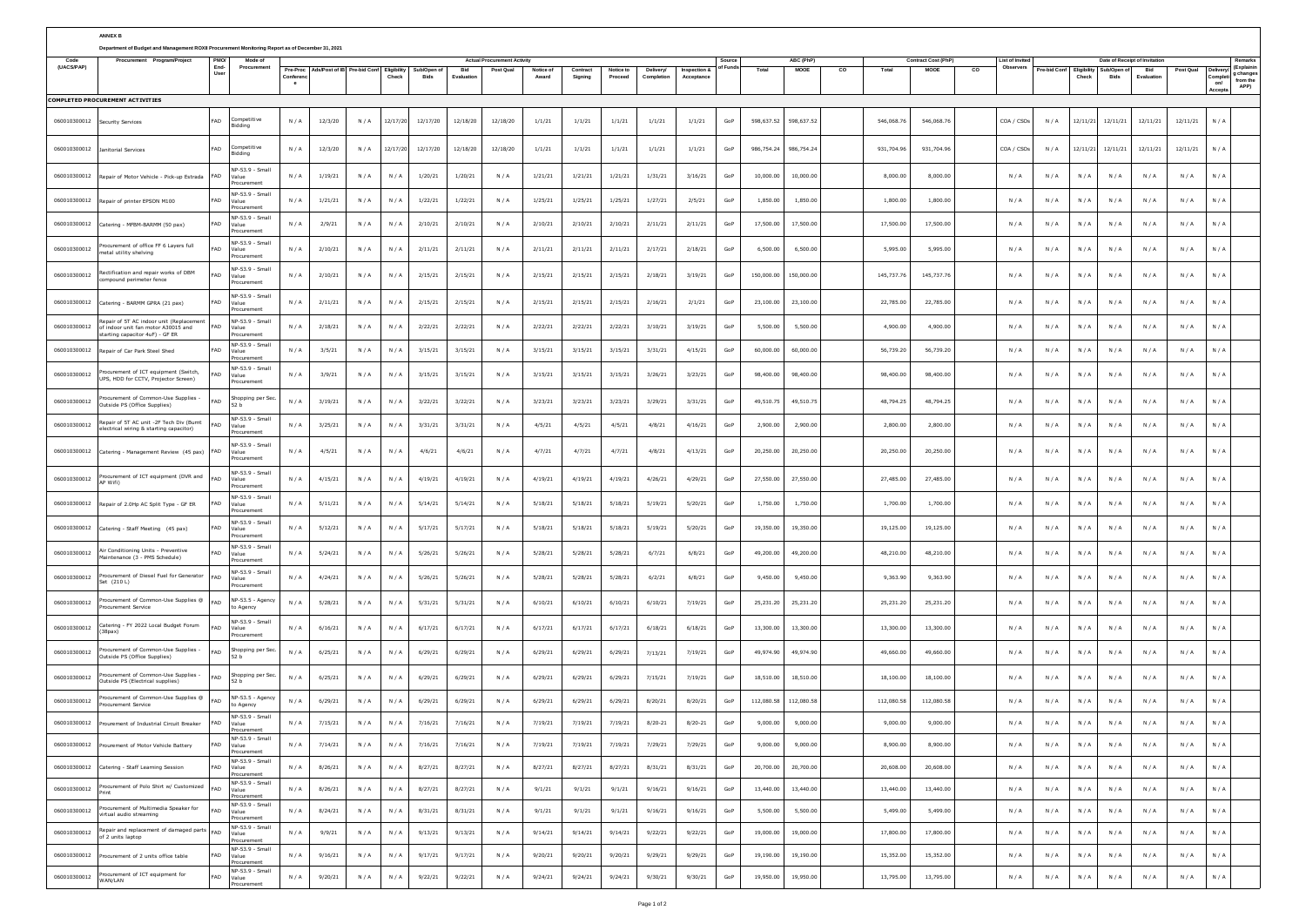|                                           | <b>ANNEX B</b>                                                                                                   |                  |                                                       |              |                    |            |            |                    |                    |                                    |                    |         |         |            |         |                |            |                   |    |            |                             |    |                           |            |                                    |                                         |            |          |                        |                               |
|-------------------------------------------|------------------------------------------------------------------------------------------------------------------|------------------|-------------------------------------------------------|--------------|--------------------|------------|------------|--------------------|--------------------|------------------------------------|--------------------|---------|---------|------------|---------|----------------|------------|-------------------|----|------------|-----------------------------|----|---------------------------|------------|------------------------------------|-----------------------------------------|------------|----------|------------------------|-------------------------------|
|                                           | Department of Budget and Management ROXII Procurement Monitoring Report as of December 31, 2021                  | PMO <sub>1</sub> |                                                       |              |                    |            |            |                    |                    |                                    |                    |         |         |            |         |                |            |                   |    |            |                             |    |                           |            |                                    |                                         |            |          |                        |                               |
| Procurement Program/Project<br>(UACS/PAP) |                                                                                                                  |                  | Mode of<br>Procuremen                                 | Pre-Pro      | ds/Post of IE      | Pre-bid Co | Eligibili  | ub/Open            | Bid                | <b>Actual Procurement Activity</b> |                    | Contrac |         |            |         |                | Total      | ABC (PhP)<br>MOOE | co | Tota       | Contract Cost (PhP)<br>MOOE | co | ist of Invite<br>Observer | re-bid Co  | igibilit<br>Check                  | Date of Receipt of Invitatio<br>ub/Open | Bid        | Post Qua |                        | Remarks<br>(Explaini          |
|                                           |                                                                                                                  | Us               |                                                       | $\mathbf{e}$ |                    |            | Check      | Bids               | Fvaluatio          |                                    | Award              | Signing | Proceed | Completion |         |                |            |                   |    |            |                             |    |                           |            |                                    | <b>Bids</b>                             | Evaluatio  |          | ompl<br>on/<br>Accepta | g changes<br>from the<br>APP) |
|                                           | <b>COMPLETED PROCUREMENT ACTIVITIES</b>                                                                          |                  |                                                       |              |                    |            |            |                    |                    |                                    |                    |         |         |            |         |                |            |                   |    |            |                             |    |                           |            |                                    |                                         |            |          |                        |                               |
| 060010300012                              | ecurity Services                                                                                                 | FAD              | ompetitive<br>Bidding                                 | N/A          | 12/3/20            | N/A        | 12/17/20   | 12/17/20           | 12/18/20           | 12/18/20                           | 1/1/21             | 1/1/21  | 1/1/21  | 1/1/21     | 1/1/21  | GoP            | 598,637.52 | 598,637.52        |    | 546,068.7  | 546,068.76                  |    | COA / CSO                 | N/A        | 12/11/21                           | 12/11/21                                | 12/11/21   | 12/11/21 | N/A                    |                               |
| 060010300012                              | nitorial Services                                                                                                | FAD              | ompetitive<br>Bidding                                 | N/A          | 12/3/20            | N/A        | 12/17/20   | 12/17/20           | 12/18/20           | 12/18/20                           | 1/1/21             | 1/1/21  | 1/1/21  | 1/1/21     | 1/1/21  | GoP            | 986,754.24 | 986,754.24        |    | 931,704.96 | 931,704.96                  |    | COA / CSO:                | N/A        | 12/11/21                           | 12/11/21                                | 12/11/21   | 12/11/21 | N/A                    |                               |
| 060010300012                              | lepair of Motor Vehicle - Pick-up Estrada                                                                        | FAD              | NP-53.9 - Smal<br>alue<br>rocurement                  | N/A          | 1/19/21            | N/A        | $N$ /      | 1/20/21            | 1/20/21            | N/A                                | 1/21/21            | 1/21/21 | 1/21/21 | 1/31/21    | 3/16/21 | GoF            | 10,000.0   | 10,000.0          |    | 8,000.00   | 8,000.00                    |    | N/A                       | N/A        | N/A                                | N/A                                     | N/A        | N/A      | N / A                  |                               |
| 060010300012                              | epair of printer EPSON M100                                                                                      | FAD              | NP-53.9 - Small<br>Value<br>Procurement               | N/A          | 1/21/21            | N/A        | N/A        | 1/22/21            | 1/22/21            | N/A                                | 1/25/21            | 1/25/21 | 1/25/21 | 1/27/21    | 2/5/21  | GoP            | 1,850.0    | 1,850.00          |    | 1,800.00   | 1,800.00                    |    | N/A                       | N/A        | N/A                                | N/A                                     | N/A        | N/A      | N/A                    |                               |
| 060010300012                              | atering - MFBM-BARMM (50 pax)                                                                                    | FAD              | NP-53.9 - Small<br>Value<br>ocurer                    | N/A          | 2/9/21             | N/A        | N / J      | 2/10/21            | 2/10/21            | N/A                                | 2/10/21            | 2/10/21 | 2/10/21 | 2/11/21    | 2/11/21 | GoP            | 17,500.00  | 17,500.00         |    | 17,500.00  | 17,500.00                   |    | N/A                       | N/A        | N/A                                | N/A                                     | N/A        | N/A      | N/A                    |                               |
| 060010300012                              | ocurement of office FF 6 Layers full<br>netal utility shelving                                                   | FAD              | NP-53.9 - Small<br>Value<br>Procurement               | N/A          | 2/10/21            | N/A        | N/A        | 2/11/21            | 2/11/21            | N/A                                | 2/11/21            | 2/11/21 | 2/11/21 | 2/17/21    | 2/18/21 | GoP            | 6,500.00   | 6,500.00          |    | 5.995.00   | 5,995.00                    |    | N/A                       | N/A        | N/A                                | N/A                                     | N/A        | N/A      | N/f                    |                               |
| 060010300012                              | ectification and repair works of DBM<br>mpound perimeter fence                                                   | FAD              | NP-53.9 - Small<br>Value<br>rocurement                | N/A          | 2/10/21            | N/A        | N/A        | 2/15/21            | 2/15/21            | N/A                                | 2/15/21            | 2/15/21 | 2/15/21 | 2/18/21    | 3/19/21 | GoP            | 150,000.00 | 150,000.00        |    | 145,737.76 | 145,737.76                  |    | N/A                       | N/A        | N/A                                | N/A                                     | N/A        | N/A      | N/A                    |                               |
| 060010300012                              | Catering - BARMM GPRA (21 pax)                                                                                   | FAD              | NP-53.9 - Small<br>Value<br>Procurement               | N/A          | 2/11/21            | N/A        | N/A        | 2/15/21            | 2/15/21            | N/A                                | 2/15/21            | 2/15/21 | 2/15/21 | 2/16/21    | 2/1/21  | GoP            | 23,100.00  | 23,100.00         |    | 22,785.00  | 22,785.00                   |    | N/A                       | N/A        | N/A                                | N/A                                     | N/A        | N/A      | N/f                    |                               |
| 060010300012                              | epair of 5T AC indoor unit (Replacement<br>f indoor unit fan motor A30015 and<br>starting capacitor 4uF) - GF ER | FAD              | NP-53.9 - Smal<br>Value<br>rocurement                 | N/A          | 2/18/21            | N/A        | N / J      | 2/22/21            | 2/22/21            | N/A                                | 2/22/21            | 2/22/21 | 2/22/21 | 3/10/21    | 3/19/21 | GoP            | 5,500.00   | 5,500.00          |    | 4,900.00   | 4,900.00                    |    | N/A                       | N/A        | N/A                                | N/A                                     | N/A        | N/A      | N/A                    |                               |
| 060010300012                              | lepair of Car Park Steel Shed                                                                                    | FAD              | NP-53.9 - Smal<br>Value<br>rocurement                 | N/A          | 3/5/21             | N/A        | N/A        | 3/15/21            | 3/15/21            | N/A                                | 3/15/21            | 3/15/21 | 3/15/21 | 3/31/21    | 4/15/21 | GoP            | 60,000.00  | 60,000.00         |    | 56,739.20  | 56,739.20                   |    | N/A                       | N/A        | N/A                                | N/A                                     | N/A        | N/A      | N/A                    |                               |
| 060010300012                              | curement of ICT equipment (Switch,<br>JPS, HDD for CCTV, Projector Screen)                                       | FAD              | NP-53.9 - Small<br>alue<br>Procurement                | N/A          | 3/9/21             | N/A        | N/A        | 3/15/21            | 3/15/21            | N/A                                | 3/15/21            | 3/15/21 | 3/15/21 | 3/26/21    | 3/23/21 | GoP            | 98,400.0   | 98,400.00         |    | 98,400.00  | 98,400.00                   |    | N/A                       | N/A        | N/A                                | N/A                                     | N/A        | N/A      | N/A                    |                               |
| 060010300012                              | ocurement of Common-Use Supplies -<br>lutside PS (Office Supplies)                                               | FAD              | hopping per Se<br>52 b                                | N/A          | 3/19/21            | N/A        | N / J      | 3/22/21            | 3/22/21            | N/A                                | 3/23/21            | 3/23/21 | 3/23/21 | 3/29/21    | 3/31/21 | GoP            | 49,510.7   | 49,510.75         |    | 48,794.25  | 48,794.25                   |    | N/A                       | N/A        | N/A                                | N/A                                     | N/A        | N/A      | N/A                    |                               |
| 060010300012                              | lepair of ST AC unit -2F Tech Div (Burnt<br>lectrical wiring & starting capacitor)                               | FAD              | NP-53.9 - Smal<br>alue<br>ocurement                   | N/A          | 3/25/21            | N/A        | N/A        | 3/31/21            | 3/31/21            | N/A                                | 4/5/21             | 4/5/21  | 4/5/21  | 4/8/21     | 4/16/21 | GoP            | 2,900.00   | 2,900.00          |    | 2,800.00   | 2,800.00                    |    | N/A                       | N/A        | $\mathsf{N}\,/\,\mathsf{A}$        | N/A                                     | N/A        | N/A      | N/A                    |                               |
| 060010300012                              | Catering - Management Review (45 pax)                                                                            | FAD              | NP-53.9 - Small<br>alue<br>rocurement                 | N/A          | 4/5/21             | N/A        | N/A        | 4/6/21             | 4/6/21             | N/A                                | 4/7/21             | 4/7/21  | 4/7/21  | 4/8/21     | 4/13/21 | GoP            | 20,250.00  | 20,250.00         |    | 20,250.00  | 20,250.00                   |    | N/A                       | N/A        | N/A                                | N/A                                     | N/A        | N/A      | N/f                    |                               |
| 060010300012                              | rocurement of ICT equipment (DVR and<br>P Wifi)                                                                  | FAD              | NP-53.9 - Small<br>Value<br>Procurement               | N/A          | 4/15/21            | N/A        | N/J        | 4/19/21            | 4/19/21            | N/A                                | 4/19/21            | 4/19/21 | 4/19/21 | 4/26/21    | 4/29/21 | GoP            | 27.550.00  | 27,550.00         |    | 27,485.00  | 27,485.00                   |    | N/A                       | N/A        | N/A                                | N/A                                     | N/A        | N/A      | N/A                    |                               |
| 060010300012                              | lepair of 2.0Hp AC Split Type - GF ER                                                                            | FAD              | NP-53.9 - Small<br>Value<br>rocuremen                 | N/A          | 5/11/21            | N/A        | N / J      | 5/14/21            | 5/14/21            | N/A                                | 5/18/21            | 5/18/21 | 5/18/21 | 5/19/21    | 5/20/21 | GoP            | 1,750.00   | 1,750.00          |    | 1,700.00   | 1,700.00                    |    | N/A                       | N/A        | N/A                                | N/A                                     | N/A        | N/A      | N/A                    |                               |
| 060010300012                              | atering - Staff Meeting (45 pax)                                                                                 | FAD              | NP-53.9 - Small<br>'alue<br>Procurement               | N/A          | 5/12/21            | N/A        | N/A        | 5/17/21            | 5/17/21            | N/A                                | 5/18/21            | 5/18/21 | 5/18/21 | 5/19/21    | 5/20/21 | GoF            | 19,350.0   | 19,350.00         |    | 19,125.00  | 19,125.00                   |    | N/A                       | N/A        | N/A                                | N/A                                     | N/A        | N/A      | N/A                    |                               |
| 060010300012                              | Air Conditioning Units - Preventive<br>aintenance (3 - PMS Schedule)                                             | AD.              | NP-53.9 - Small<br>Value<br>Procurement               | N/A          | 5/24/21            | N/A        | N / J      | 5/26/21            | 5/26/21            | N/A                                | 5/28/21            | 5/28/21 | 5/28/21 | 6/7/21     | 6/8/21  | GoP            | 49,200.00  | 49,200.00         |    | 48,210.00  | 48,210.00                   |    | N/A                       | N/A        | N/A                                | N/A                                     | N/A        | N/A      | N/A                    |                               |
| 060010300012                              | ocurement of Diesel Fuel for Generator<br>Set (210 L)                                                            | FAD              | NP-53.9 - Small<br>Value<br>rocuremen                 | N/A          | 4/24/21            | N/A        | N / J      | 5/26/21            | 5/26/21            | N/A                                | 5/28/21            | 5/28/21 | 5/28/21 | 6/2/21     | 6/8/21  | GoP            | 9,450.0    | 9,450.00          |    | 9,363.90   | 9,363.90                    |    | N/A                       | N/A        | N/A                                | N/A                                     | N/A        | N/A      | N/A                    |                               |
| 060010300012                              | ocurement of Common-Use Supplies @<br>rocurement Service                                                         | FAD              | NP-53.5 - Agenc<br>to Agency                          | N/A          | 5/28/21            | N/A        | N/A        | 5/31/21            | 5/31/21            | N/A                                | 6/10/21            | 6/10/21 | 6/10/21 | 6/10/21    | 7/19/21 | GoF            | 25,231.2   | 25,231.20         |    | 25,231.20  | 25,231.20                   |    | N/A                       | N/A        | N/A                                | N/A                                     | N/A        | N/A      | N/A                    |                               |
| 060010300012                              | atering - FY 2022 Local Budget Forum<br>38pax)                                                                   | FAD              | NP-53.9 - Small<br>Value<br>Procurement               | N/A          | 6/16/21            | N/A        | N/A        | 6/17/21            | 6/17/21            | N/A                                | 6/17/21            | 6/17/21 | 6/17/21 | 6/18/21    | 6/18/21 | GoP            | 13,300.00  | 13,300.00         |    | 13,300.00  | 13,300.00                   |    | N/A                       | N/A        | N/A                                | N/A                                     | N/A        | N/A      | N/f                    |                               |
| 060010300012                              | ocurement of Common-Use Supplies -<br>Outside PS (Office Supplies)                                               | FAD              | ihopping per Se<br>52 b                               | N/A          | 6/25/21            | N/A        | N / J      | 6/29/21            | 6/29/21            | N/A                                | 6/29/21            | 6/29/21 | 6/29/21 | 7/13/21    | 7/19/21 | GoP            | 49,974.90  | 49,974.90         |    | 49,660.00  | 49,660.00                   |    | N/A                       | N/A        | N/A                                | N/A                                     | N/A        | N/A      | N/A                    |                               |
| 060010300012                              | ocurement of Common-Use Supplies<br>Outside PS (Electrical supplies)                                             | FAD              | hopping per Se<br>52 b                                | N/A          | 6/25/21            | N/A        | N/A        | 6/29/21            | 6/29/21            | N/A                                | 6/29/21            | 6/29/21 | 6/29/21 | 7/15/21    | 7/19/21 | GoF            | 18,510.0   | 18,510.00         |    | 18,100.00  | 18,100.00                   |    | N/A                       | N/A        | N/A                                | N/A                                     | N/A        | N/A      | N/A                    |                               |
| 060010300012                              | ocurement of Common-Use Supplies @<br>rocurement Service                                                         | FAD              | NP-53.5 - Agend<br>o Agency<br>NP-53.9 - Small        | N/A          | 6/29/21            | N/A        | N/A        | 6/29/21            | 6/29/21            | N/A                                | 6/29/21            | 6/29/21 | 6/29/21 | 8/20/21    | 8/20/21 | GoP            | 112,080.5  | 112,080.58        |    | 112,080.58 | 112,080.58                  |    | N/A                       | N/A        | N/A                                | N/A                                     | N/A        | N/A      | N/A                    |                               |
| 060010300012                              |                                                                                                                  | FAD              | Procurement<br>NP-53.9 - Small                        | N/A          |                    |            |            |                    |                    | N/A                                | 7/19/21            | 7/19/21 | 7/19/21 | 7/29/21    | 7/29/21 | GoP<br>GoP     | 9,000.00   | 9,000.00          |    | 8,900.00   | 8,900.00                    |    | N/A                       |            |                                    |                                         |            | N/A      |                        |                               |
| 060010300012                              | rourement of Motor Vehicle Battery<br>Catering - Staff Learning Session                                          | FAD              | alue<br>mcuremen<br>NP-53.9 - Small<br>Value          | N/A          | 7/14/21<br>8/26/21 | N/A<br>N/A | N/A<br>N/A | 7/16/21<br>8/27/21 | 7/16/21<br>8/27/21 | N/A                                | 7/19/21<br>8/27/21 | 8/27/21 | 8/27/21 | 8/31/21    | 8/31/21 | GoP            | 20,700.00  | 20,700.00         |    | 20,608.00  | 20,608.00                   |    | N/A                       | N/A<br>N/A | N/A<br>$\mathsf{N}\,/\,\mathsf{A}$ | N/A<br>N/A                              | N/A<br>N/A | N/A      | N/A<br>N/A             |                               |
| 060010300012                              | rocurement of Polo Shirt w/ Customized                                                                           | FAD              | Procurement<br>NP-53.9 - Small<br>alue                | N/A          | 8/26/21            | N/A        | N/A        | 8/27/21            | 8/27/21            | N/A                                | 9/1/21             | 9/1/21  | 9/1/21  | 9/16/21    | 9/16/21 | GoP            | 13,440.00  | 13,440.00         |    | 13,440.00  | 13,440.00                   |    | N/A                       | N/A        | N/A                                | N/A                                     | N/A        | N/A      | N/A                    |                               |
| 060010300012                              | rocurement of Multimedia Speaker for<br>virtual audio streaming                                                  | FAD              | Procurement<br>NP-53.9 - Small<br>Value<br>rocurement | N/A          | 8/24/21            | N/A        | N/A        | 8/31/21            | 8/31/21            | N/A                                | 9/1/21             | 9/1/21  | 9/1/21  | 9/16/21    | 9/16/21 | GoP            | 5,500.00   | 5,500.00          |    | 5,499.00   | 5,499.00                    |    | N/A                       | N/A        | $\mathsf{N}\,/\,\mathsf{A}$        | N/A                                     | N/A        | N/A      | N/A                    |                               |
| 060010300012                              | Repair and replacement of damaged parts<br>of 2 units laptop                                                     | FAD              | NP-53.9 - Small<br>alue<br>rocurement                 | N/A          | 9/9/21             | N/A        | N/A        | 9/13/21            | 9/13/21            | N/A                                | 9/14/21            | 9/14/21 | 9/14/21 | 9/22/21    | 9/22/21 | GoP            | 19,000.00  | 19,000.00         |    | 17,800.00  | 17,800.00                   |    | N/A                       | N/A        | N/A                                | N/A                                     | N/A        | N/A      | N/A                    |                               |
| 060010300012                              | rocurement of 2 units office table                                                                               | FAD              | NP-53.9 - Small<br>Value<br>rocurement                | N/A          | 9/16/21            | N/A        | N/A        | 9/17/21            | 9/17/21            | N/A                                | 9/20/21            | 9/20/21 | 9/20/21 | 9/29/21    | 9/29/21 | GoP            | 19,190.00  | 19,190.00         |    | 15,352.00  | 15,352.00                   |    | N/A                       | N/A        | N/A                                | N/A                                     | N/A        | N/A      | N/A                    |                               |
| 060010300012                              | Procurement of ICT equipment for<br>WAN/LAN                                                                      | FAD              | NP-53.9 - Small<br>Value<br>Procurement               | N/A          | 9/20/21            | N/A        | N/A        | 9/22/21            | 9/22/21            | N/A                                | 9/24/21            | 9/24/21 | 9/24/21 | 9/30/21    | 9/30/21 | $\mathsf{GoP}$ | 19,950.00  | 19,950.00         |    | 13,795.00  | 13,795.00                   |    | N/A                       | N/A        | N/A                                | N/A                                     | N/A        | N/A      | N/A                    |                               |